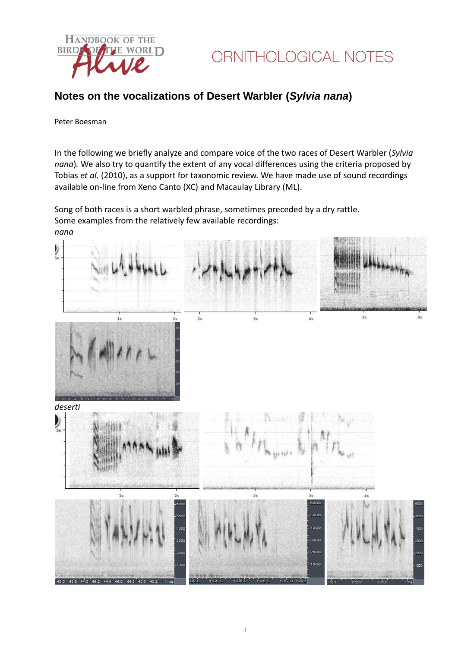

### **Notes on the vocalizations of Desert Warbler (***Sylvia nana***)**

#### Peter Boesman

In the following we briefly analyze and compare voice of the two races of Desert Warbler (*Sylvia nana*)*.* We also try to quantify the extent of any vocal differences using the criteria proposed by Tobias *et al.* (2010), as a support for taxonomic review. We have made use of sound recordings available on-line from Xeno Canto (XC) and Macaulay Library (ML).

Song of both races is a short warbled phrase, sometimes preceded by a dry rattle. Some examples from the relatively few available recordings: *nana*

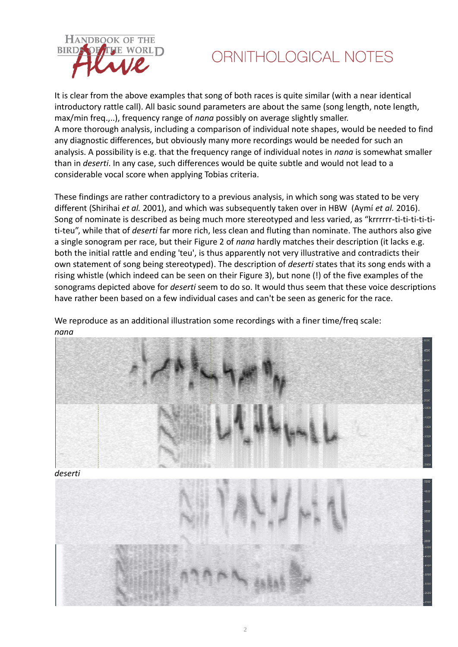

# ORNITHOLOGICAL NOTES

It is clear from the above examples that song of both races is quite similar (with a near identical introductory rattle call). All basic sound parameters are about the same (song length, note length, max/min freq.,..), frequency range of *nana* possibly on average slightly smaller. A more thorough analysis, including a comparison of individual note shapes, would be needed to find any diagnostic differences, but obviously many more recordings would be needed for such an analysis. A possibility is e.g. that the frequency range of individual notes in *nana* is somewhat smaller than in *deserti*. In any case, such differences would be quite subtle and would not lead to a considerable vocal score when applying Tobias criteria.

These findings are rather contradictory to a previous analysis, in which song was stated to be very different (Shirihai *et al.* 2001), and which was subsequently taken over in HBW (Aymí *et al.* 2016). Song of nominate is described as being much more stereotyped and less varied, as "krrrrrr-ti-ti-ti-ti-titi-teu", while that of *deserti* far more rich, less clean and fluting than nominate. The authors also give a single sonogram per race, but their Figure 2 of *nana* hardly matches their description (it lacks e.g. both the initial rattle and ending 'teu', is thus apparently not very illustrative and contradicts their own statement of song being stereotyped). The description of *deserti* states that its song ends with a rising whistle (which indeed can be seen on their Figure 3), but none (!) of the five examples of the sonograms depicted above for *deserti* seem to do so. It would thus seem that these voice descriptions have rather been based on a few individual cases and can't be seen as generic for the race.

We reproduce as an additional illustration some recordings with a finer time/freq scale: *nana*